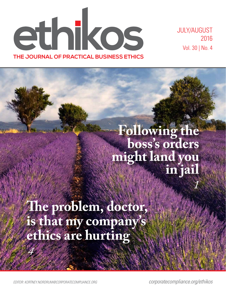ethikos **THE JOURNAL OF PRACTICAL BUSINESS ETHICS**

JULY/AUGUST 2016 Vol. 30 | No. 4

*1*

# **Following the boss's orders might land you in jail**

**The problem, doctor, is that my company's ethics are hurting**

*EDITOR: KORTNEY.NORDRUM@CORPORATECOMPLIANCE.ORG corporatecompliance.org/ethikos*

*4*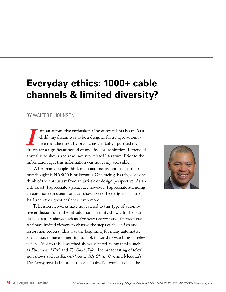## **Everyday ethics: 1000+ cable channels & limited diversity?**

### BY WALTER E. JOHNSON

am an automotive enthusiast. One of my talents is art. As a child, my dream was to be a designer for a major automotive manufacturer. By practicing art daily, I pursued my dream for a significant period of my life. For ins child, my dream was to be a designer for a major automotive manufacturer. By practicing art daily, I pursued my annual auto shows and read industry related literature. Prior to the information age, this information was not easily accessible.

When many people think of an automotive enthusiast, their first thought is NASCAR or Formula One racing. Rarely, does one think of the enthusiast from an artistic or design perspective. As an enthusiast, I appreciate a great race however; I appreciate attending an automotive museum or a car show to see the designs of Harley Earl and other great designers even more.

Television networks have not catered to this type of automotive enthusiast until the introduction of reality shows. In the past decade, reality shows such as *American Chopper* and *American Hot Rod* have invited viewers to observe the steps of the design and restoration process. This was the beginning for many automotive enthusiasts to have something to look forward to watching on television. Prior to this, I watched shows selected by my family such as *Phineas and Ferb* and *The Good Wife*. The broadcasting of television shows such as *Barrett-Jackson*, *My Classic Car*, and Mequiar's *Car Crazy* revealed more of the car hobby. Networks such as the

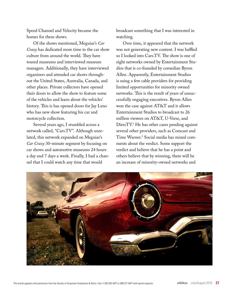Speed Channel and Velocity became the homes for these shows.

Of the shows mentioned, Meguiar's *Car Crazy* has dedicated more time to the car show culture from around the world. They have toured museums and interviewed museum managers. Additionally, they have interviewed organizers and attended car shows throughout the United States, Australia, Canada, and other places. Private collectors have opened their doors to allow the show to feature some of the vehicles and learn about the vehicles' history. This is has opened doors for Jay Leno who has new show featuring his car and motorcycle collection.

Several years ago, I stumbled across a network called, "Cars.TV". Although unrelated, this network expanded on Meguiar's *Car Crazy* 30-minute segment by focusing on car shows and automotive museums 24 hours a day and 7 days a week. Finally, I had a channel that I could watch any time that would

broadcast something that I was interested in watching.

Over time, it appeared that the network was not generating new content. I was baffled so I looked into Cars.TV. The show is one of eight networks owned by Entertainment Studios that is co-founded by comedian Byron Allen. Apparently, Entertainment Studios is suing a few cable providers for providing limited opportunities for minority owned networks. This is the result of years of unsuccessfully engaging executives. Byron Allen won the case against AT&T and it allows Entertainment Studios to broadcast to 26 million viewers on AT&T, U-Verse, and DirecTV.1 He has other cases pending against several other providers, such as Comcast and Time Warner.2 Social media has mixed comments about the verdict. Some support the verdict and believe that he has a point and others believe that by winning, there will be an increase of minority-owned networks and

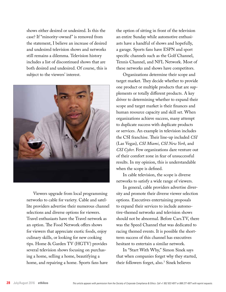shows either desired or undesired. Is this the case? If "minority-owned" is removed from the statement, I believe an increase of desired and undesired television shows and networks still remains a dilemma. Television history includes a list of discontinued shows that are both desired and undesired. Of course, this is subject to the viewers' interest.



Viewers upgrade from local programming networks to cable for variety. Cable and satellite providers advertise their numerous channel selections and diverse options for viewers. Travel enthusiasts have the Travel network as an option. The Food Network offers shows for viewers that appreciate exotic foods, enjoy culinary skills, or looking for new cooking tips. Home & Garden TV (HGTV) provides several television shows focusing on purchasing a home, selling a home, beautifying a home, and repairing a home. Sports fans have

the option of sitting in front of the television an entire Sunday while automotive enthusiasts have a handful of shows and hopefully, a garage. Sports fans have ESPN and sport specific channels such as the Golf Channel, Tennis Channel, and NFL Network. Most of these networks and shows have competitors.

Organizations determine their scope and target market. They decide whether to provide one product or multiple products that are supplements or totally different products. A key driver to determining whether to expand their scope and target market is their finances and human resource capacity and skill set. When organizations achieve success, many attempt to duplicate success with duplicate products or services. An example in television includes the CSI franchise. Their line-up included *CSI* (Las Vegas), *CSI Miami*, *CSI New York*, and *CSI Cyber*. Few organizations dare venture out of their comfort zone in fear of unsuccessful results. In my opinion, this is understandable when the scope is defined.

In cable television, the scope is diverse networks to satisfy a wide range of viewers.

In general, cable providers advertise diversity and promote their diverse viewer selection options. Executives entertaining proposals to expand their services to include automotive-themed networks and television shows should not be abnormal. Before Cars.TV, there was the Speed Channel that was dedicated to racing themed events. It is possible the shortterm success of this channel has executives hesitant to entertain a similar network.

In "Start With Why," Simon Sinek says that when companies forget why they started, their followers forget, also.3 Sinek believes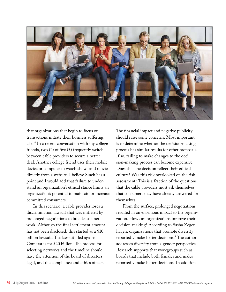

that organizations that begin to focus on transactions initiate their business suffering, also.4 In a recent conversation with my college friends, two (2) of five (5) frequently switch between cable providers to secure a better deal. Another college friend uses their mobile device or computer to watch shows and movies directly from a website. I believe Sinek has a point and I would add that failure to understand an organization's ethical stance limits an organization's potential to maintain or increase committed consumers.

In this scenario, a cable provider loses a discrimination lawsuit that was initiated by prolonged negotiations to broadcast a network. Although the final settlement amount has not been disclosed, this started as a \$10 billion lawsuit. The lawsuit filed against Comcast is for \$20 billion. The process for selecting networks and the timeline should have the attention of the board of directors, legal, and the compliance and ethics officer.

The financial impact and negative publicity should raise some concerns. Most important is to determine whether the decision-making process has similar results for other proposals. If so, failing to make changes to the decision-making process can become expensive. Does this one decision reflect their ethical culture? Was this risk overlooked on the risk assessment? This is a fraction of the questions that the cable providers must ask themselves that consumers may have already answered for themselves.

From the surface, prolonged negotiations resulted in an enormous impact to the organization. How can organizations improve their decision-making? According to Sasha Zegenhagen, organizations that promote diversity reportedly make better decisions.5 The author addresses diversity from a gender perspective. Research supports that workgroups such as boards that include both females and males reportedly make better decisions. In addition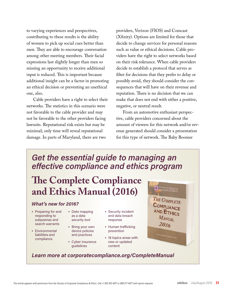to varying experiences and perspectives, contributing to these results is the ability of women to pick up social cues better than men. They are able to encourage conversation among other meeting members. Their facial expressions last slightly longer than men so missing an opportunity to receive additional input is reduced. This is important because additional insight can be a factor in promoting an ethical decision or preventing an unethical one, also.

Cable providers have a right to select their networks. The statistics in this scenario were not favorable to the cable provider and may not be favorable to the other providers facing lawsuits. Reputational risk exists but may be minimal; only time will reveal reputational damage. In parts of Maryland, there are two

providers, Verizon (FIOS) and Comcast (Xfinity). Options are limited for those that decide to change services for personal reasons such as value or ethical decisions. Cable providers have the right to select networks based on their risk tolerance. When cable providers decide to establish a protocol that serves as filter for decisions that they prefer to delay or possibly avoid, they should consider the consequences that will have on their revenue and reputation. There is no decision that we can make that does not end with either a positive, negative, or neutral result.

From an automotive enthusiast perspective, cable providers concerned about the amount of viewers for this network and/or revenue generated should consider a presentation for this type of network. The Baby Boomer

### *Get the essential guide to managing an effective compliance and ethics program*

## **The Complete Compliance and Ethics Manual (2016)**

### *What's new for 2016?*

- Preparing for and responding to subpoenas and search warrants
- Environmental liabilities and compliance
- Data mapping as a data security tool
- Bring your own device policies
- and practices • Cyber insurance guidelines
- Security incident and data breach response
- Human trafficking prevention
- 18 topics areas with new or updated content

**CONSTRUCTION CORPORATE** THE COMPLETE COMPLIANCE AND ETHICS MANUAL 2016

### *Learn more at corporatecompliance.org/CompleteManual*